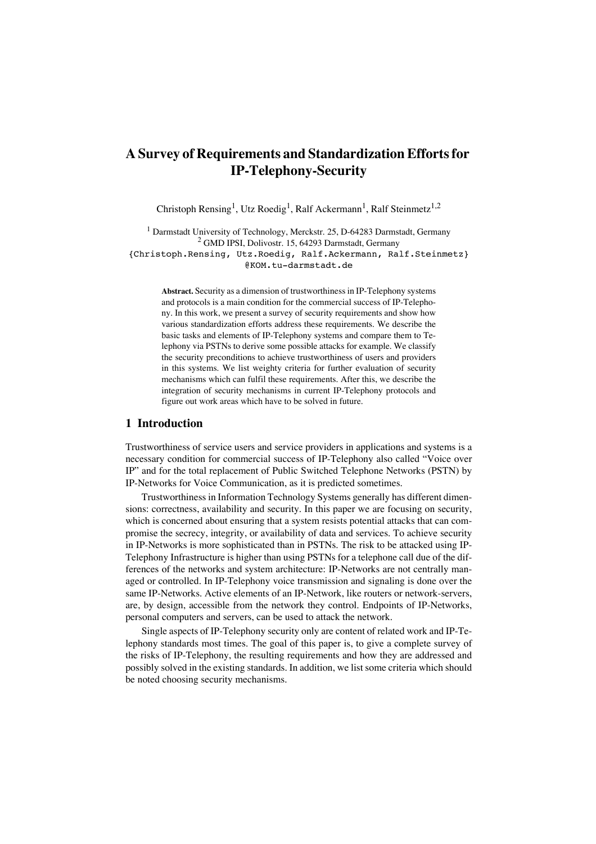# **A Survey of Requirements and Standardization Effortsfor IP-Telephony-Security**

Christoph Rensing<sup>1</sup>, Utz Roedig<sup>1</sup>, Ralf Ackermann<sup>1</sup>, Ralf Steinmetz<sup>1,2</sup>

<sup>1</sup> Darmstadt University of Technology, Merckstr. 25, D-64283 Darmstadt, Germany <sup>2</sup> GMD IPSI, Dolivostr. 15, 64293 Darmstadt, Germany

{Christoph.Rensing, Utz.Roedig, Ralf.Ackermann, Ralf.Steinmetz} @KOM.tu-darmstadt.de

**Abstract.** Security as a dimension of trustworthiness in IP-Telephony systems and protocols is a main condition for the commercial success of IP-Telephony. In this work, we present a survey of security requirements and show how various standardization efforts address these requirements. We describe the basic tasks and elements of IP-Telephony systems and compare them to Telephony via PSTNs to derive some possible attacks for example. We classify the security preconditions to achieve trustworthiness of users and providers in this systems. We list weighty criteria for further evaluation of security mechanisms which can fulfil these requirements. After this, we describe the integration of security mechanisms in current IP-Telephony protocols and figure out work areas which have to be solved in future.

### **1 Introduction**

Trustworthiness of service users and service providers in applications and systems is a necessary condition for commercial success of IP-Telephony also called "Voice over IP" and for the total replacement of Public Switched Telephone Networks (PSTN) by IP-Networks for Voice Communication, as it is predicted sometimes.

Trustworthinessin Information Technology Systems generally has different dimensions: correctness, availability and security. In this paper we are focusing on security, which is concerned about ensuring that a system resists potential attacks that can compromise the secrecy, integrity, or availability of data and services. To achieve security in IP-Networks is more sophisticated than in PSTNs. The risk to be attacked using IP-Telephony Infrastructure is higher than using PSTNs for a telephone call due of the differences of the networks and system architecture: IP-Networks are not centrally managed or controlled. In IP-Telephony voice transmission and signaling is done over the same IP-Networks. Active elements of an IP-Network, like routers or network-servers, are, by design, accessible from the network they control. Endpoints of IP-Networks, personal computers and servers, can be used to attack the network.

Single aspects of IP-Telephony security only are content of related work and IP-Telephony standards most times. The goal of this paper is, to give a complete survey of the risks of IP-Telephony, the resulting requirements and how they are addressed and possibly solved in the existing standards. In addition, we list some criteria which should be noted choosing security mechanisms.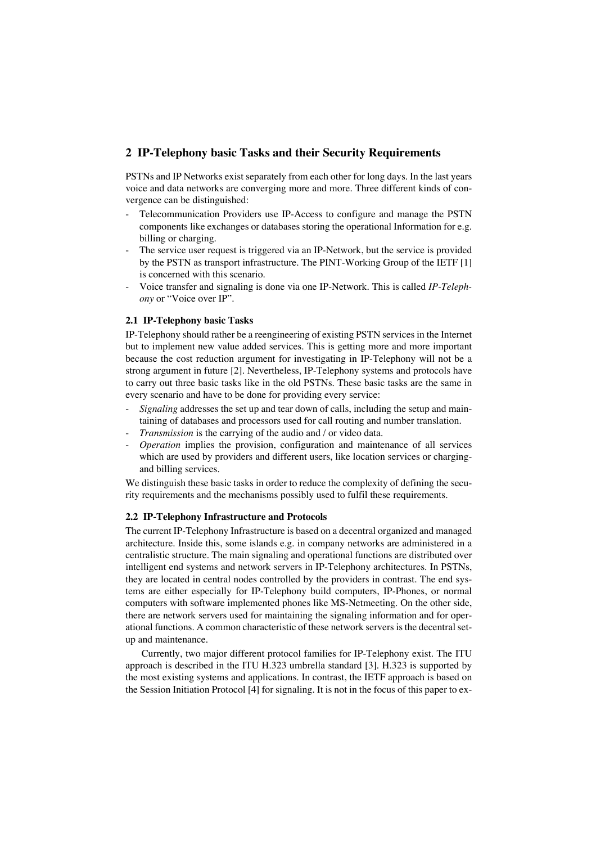# **2 IP-Telephony basic Tasks and their Security Requirements**

PSTNs and IP Networks exist separately from each other for long days. In the last years voice and data networks are converging more and more. Three different kinds of convergence can be distinguished:

- Telecommunication Providers use IP-Access to configure and manage the PSTN components like exchanges or databases storing the operational Information for e.g. billing or charging.
- The service user request is triggered via an IP-Network, but the service is provided by the PSTN as transport infrastructure. The PINT-Working Group of the IETF [1] is concerned with this scenario.
- Voice transfer and signaling is done via one IP-Network. This is called *IP-Telephony* or "Voice over IP".

# **2.1 IP-Telephony basic Tasks**

IP-Telephony should rather be a reengineering of existing PSTN services in the Internet but to implement new value added services. This is getting more and more important because the cost reduction argument for investigating in IP-Telephony will not be a strong argument in future [2]. Nevertheless, IP-Telephony systems and protocols have to carry out three basic tasks like in the old PSTNs. These basic tasks are the same in every scenario and have to be done for providing every service:

- *Signaling* addresses the set up and tear down of calls, including the setup and maintaining of databases and processors used for call routing and number translation.
- *Transmission* is the carrying of the audio and / or video data.
- *Operation* implies the provision, configuration and maintenance of all services which are used by providers and different users, like location services or chargingand billing services.

We distinguish these basic tasks in order to reduce the complexity of defining the security requirements and the mechanisms possibly used to fulfil these requirements.

### **2.2 IP-Telephony Infrastructure and Protocols**

The current IP-Telephony Infrastructure is based on a decentral organized and managed architecture. Inside this, some islands e.g. in company networks are administered in a centralistic structure. The main signaling and operational functions are distributed over intelligent end systems and network servers in IP-Telephony architectures. In PSTNs, they are located in central nodes controlled by the providers in contrast. The end systems are either especially for IP-Telephony build computers, IP-Phones, or normal computers with software implemented phones like MS-Netmeeting. On the other side, there are network servers used for maintaining the signaling information and for operational functions. A common characteristic of these network servers is the decentral setup and maintenance.

Currently, two major different protocol families for IP-Telephony exist. The ITU approach is described in the ITU H.323 umbrella standard [3]. H.323 is supported by the most existing systems and applications. In contrast, the IETF approach is based on the Session Initiation Protocol [4] for signaling. It is not in the focus of this paper to ex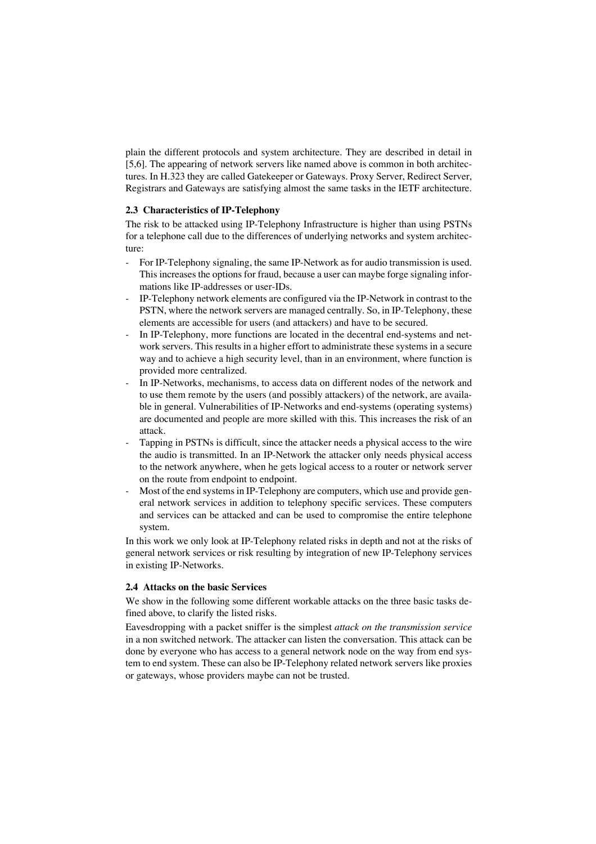plain the different protocols and system architecture. They are described in detail in [5,6]. The appearing of network servers like named above is common in both architectures. In H.323 they are called Gatekeeper or Gateways. Proxy Server, Redirect Server, Registrars and Gateways are satisfying almost the same tasks in the IETF architecture.

# **2.3 Characteristics of IP-Telephony**

The risk to be attacked using IP-Telephony Infrastructure is higher than using PSTNs for a telephone call due to the differences of underlying networks and system architecture:

- For IP-Telephony signaling, the same IP-Network as for audio transmission is used. This increases the options for fraud, because a user can maybe forge signaling informations like IP-addresses or user-IDs.
- IP-Telephony network elements are configured via the IP-Network in contrast to the PSTN, where the network servers are managed centrally. So, in IP-Telephony, these elements are accessible for users (and attackers) and have to be secured.
- In IP-Telephony, more functions are located in the decentral end-systems and network servers. This results in a higher effort to administrate these systems in a secure way and to achieve a high security level, than in an environment, where function is provided more centralized.
- In IP-Networks, mechanisms, to access data on different nodes of the network and to use them remote by the users (and possibly attackers) of the network, are available in general. Vulnerabilities of IP-Networks and end-systems (operating systems) are documented and people are more skilled with this. This increases the risk of an attack.
- Tapping in PSTNs is difficult, since the attacker needs a physical access to the wire the audio is transmitted. In an IP-Network the attacker only needs physical access to the network anywhere, when he gets logical access to a router or network server on the route from endpoint to endpoint.
- Most of the end systems in IP-Telephony are computers, which use and provide general network services in addition to telephony specific services. These computers and services can be attacked and can be used to compromise the entire telephone system.

In this work we only look at IP-Telephony related risks in depth and not at the risks of general network services or risk resulting by integration of new IP-Telephony services in existing IP-Networks.

### **2.4 Attacks on the basic Services**

We show in the following some different workable attacks on the three basic tasks defined above, to clarify the listed risks.

Eavesdropping with a packet sniffer is the simplest *attack on the transmission service* in a non switched network. The attacker can listen the conversation. This attack can be done by everyone who has access to a general network node on the way from end system to end system. These can also be IP-Telephony related network servers like proxies or gateways, whose providers maybe can not be trusted.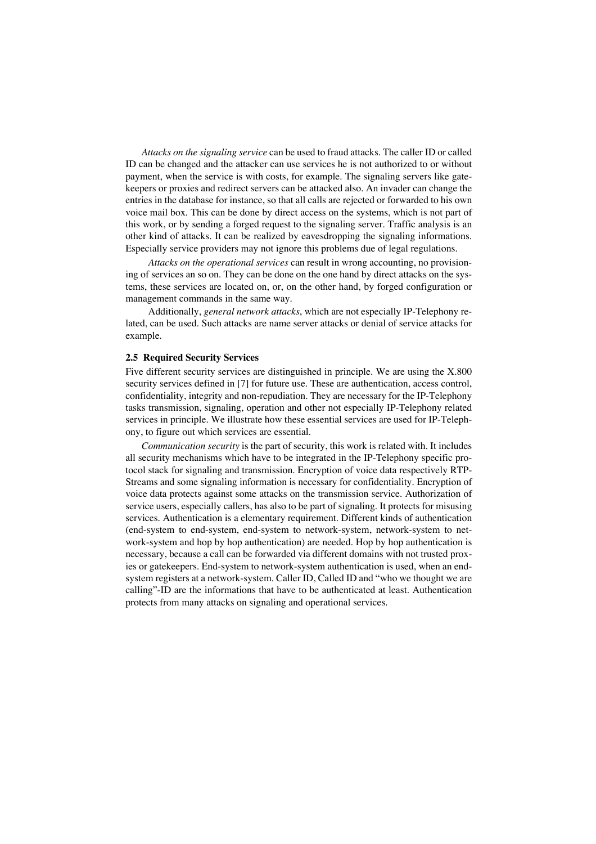*Attacks on the signaling service* can be used to fraud attacks. The caller ID or called ID can be changed and the attacker can use services he is not authorized to or without payment, when the service is with costs, for example. The signaling servers like gatekeepers or proxies and redirect servers can be attacked also. An invader can change the entries in the database for instance, so that all calls are rejected or forwarded to his own voice mail box. This can be done by direct access on the systems, which is not part of this work, or by sending a forged request to the signaling server. Traffic analysis is an other kind of attacks. It can be realized by eavesdropping the signaling informations. Especially service providers may not ignore this problems due of legal regulations.

*Attacks on the operational services* can result in wrong accounting, no provisioning of services an so on. They can be done on the one hand by direct attacks on the systems, these services are located on, or, on the other hand, by forged configuration or management commands in the same way.

Additionally, *general network attacks*, which are not especially IP-Telephony related, can be used. Such attacks are name server attacks or denial of service attacks for example.

#### **2.5 Required Security Services**

Five different security services are distinguished in principle. We are using the X.800 security services defined in [7] for future use. These are authentication, access control, confidentiality, integrity and non-repudiation. They are necessary for the IP-Telephony tasks transmission, signaling, operation and other not especially IP-Telephony related services in principle. We illustrate how these essential services are used for IP-Telephony, to figure out which services are essential.

*Communication security* is the part of security, this work is related with. It includes all security mechanisms which have to be integrated in the IP-Telephony specific protocol stack for signaling and transmission. Encryption of voice data respectively RTP-Streams and some signaling information is necessary for confidentiality. Encryption of voice data protects against some attacks on the transmission service. Authorization of service users, especially callers, has also to be part of signaling. It protects for misusing services. Authentication is a elementary requirement. Different kinds of authentication (end-system to end-system, end-system to network-system, network-system to network-system and hop by hop authentication) are needed. Hop by hop authentication is necessary, because a call can be forwarded via different domains with not trusted proxies or gatekeepers. End-system to network-system authentication is used, when an endsystem registers at a network-system. Caller ID, Called ID and "who we thought we are calling"-ID are the informations that have to be authenticated at least. Authentication protects from many attacks on signaling and operational services.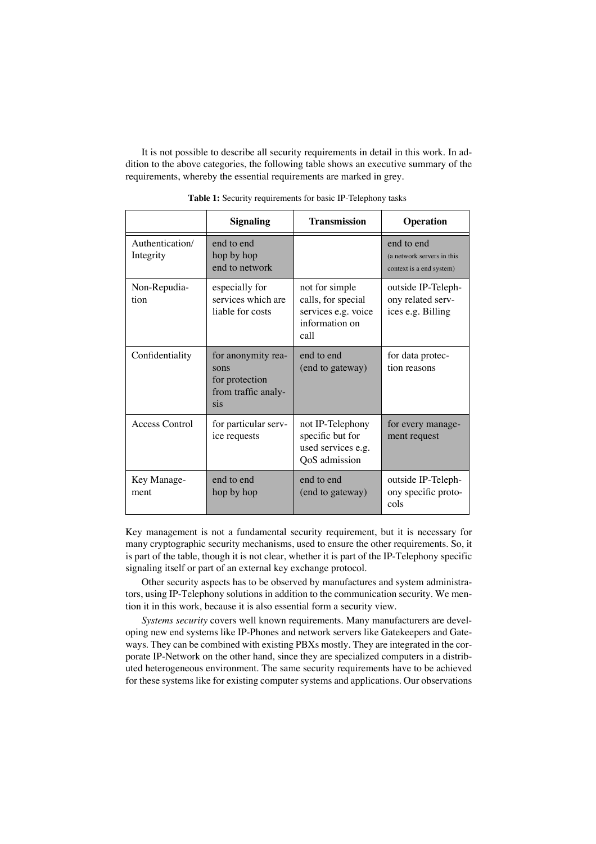It is not possible to describe all security requirements in detail in this work. In addition to the above categories, the following table shows an executive summary of the requirements, whereby the essential requirements are marked in grey.

|                              | <b>Signaling</b>                                                           | <b>Transmission</b>                                                                   | <b>Operation</b>                                                     |
|------------------------------|----------------------------------------------------------------------------|---------------------------------------------------------------------------------------|----------------------------------------------------------------------|
| Authentication/<br>Integrity | end to end<br>hop by hop<br>end to network                                 |                                                                                       | end to end<br>(a network servers in this<br>context is a end system) |
| Non-Repudia-<br>tion         | especially for<br>services which are<br>liable for costs                   | not for simple<br>calls, for special<br>services e.g. voice<br>information on<br>call | outside IP-Teleph-<br>ony related serv-<br>ices e.g. Billing         |
| Confidentiality              | for anonymity rea-<br>sons<br>for protection<br>from traffic analy-<br>sis | end to end<br>(end to gateway)                                                        | for data protec-<br>tion reasons                                     |
| Access Control               | for particular serv-<br>ice requests                                       | not IP-Telephony<br>specific but for<br>used services e.g.<br>QoS admission           | for every manage-<br>ment request                                    |
| Key Manage-<br>ment          | end to end<br>hop by hop                                                   | end to end<br>(end to gateway)                                                        | outside IP-Teleph-<br>ony specific proto-<br>cols                    |

**Table 1:** Security requirements for basic IP-Telephony tasks

Key management is not a fundamental security requirement, but it is necessary for many cryptographic security mechanisms, used to ensure the other requirements. So, it is part of the table, though it is not clear, whether it is part of the IP-Telephony specific signaling itself or part of an external key exchange protocol.

Other security aspects has to be observed by manufactures and system administrators, using IP-Telephony solutions in addition to the communication security. We mention it in this work, because it is also essential form a security view.

*Systems security* covers well known requirements. Many manufacturers are developing new end systems like IP-Phones and network servers like Gatekeepers and Gateways. They can be combined with existing PBXs mostly. They are integrated in the corporate IP-Network on the other hand, since they are specialized computers in a distributed heterogeneous environment. The same security requirements have to be achieved for these systems like for existing computer systems and applications. Our observations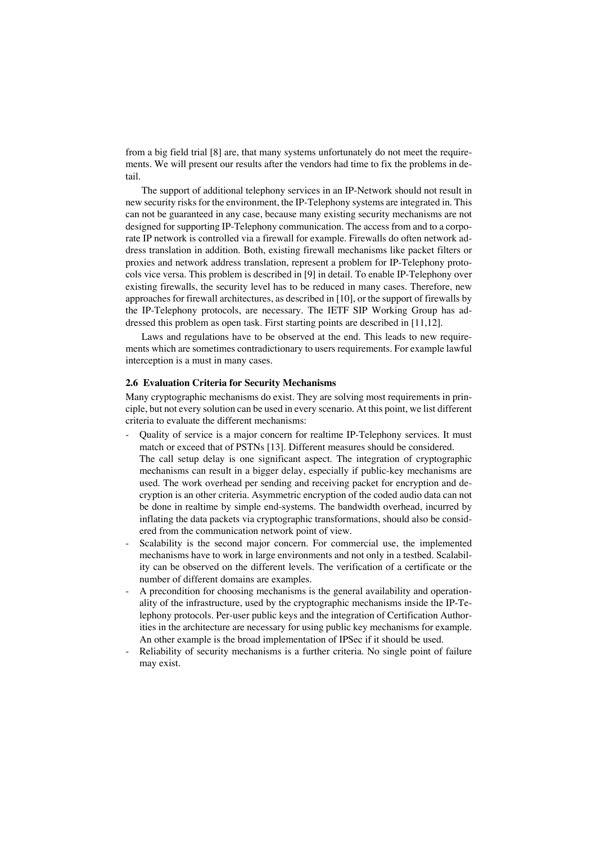from a big field trial [8] are, that many systems unfortunately do not meet the requirements. We will present our results after the vendors had time to fix the problems in detail.

The support of additional telephony services in an IP-Network should not result in new security risks for the environment, the IP-Telephony systems are integrated in. This can not be guaranteed in any case, because many existing security mechanisms are not designed for supporting IP-Telephony communication. The access from and to a corporate IP network is controlled via a firewall for example. Firewalls do often network address translation in addition. Both, existing firewall mechanisms like packet filters or proxies and network address translation, represent a problem for IP-Telephony protocols vice versa. This problem is described in [9] in detail. To enable IP-Telephony over existing firewalls, the security level has to be reduced in many cases. Therefore, new approaches for firewall architectures, as described in [10], or the support of firewalls by the IP-Telephony protocols, are necessary. The IETF SIP Working Group has addressed this problem as open task. First starting points are described in [11,12].

Laws and regulations have to be observed at the end. This leads to new requirements which are sometimes contradictionary to users requirements. For example lawful interception is a must in many cases.

#### **2.6 Evaluation Criteria for Security Mechanisms**

Many cryptographic mechanisms do exist. They are solving most requirements in principle, but not every solution can be used in every scenario. At this point, we list different criteria to evaluate the different mechanisms:

- Quality of service is a major concern for realtime IP-Telephony services. It must match or exceed that of PSTNs [13]. Different measures should be considered. The call setup delay is one significant aspect. The integration of cryptographic mechanisms can result in a bigger delay, especially if public-key mechanisms are used. The work overhead per sending and receiving packet for encryption and decryption is an other criteria. Asymmetric encryption of the coded audio data can not be done in realtime by simple end-systems. The bandwidth overhead, incurred by inflating the data packets via cryptographic transformations, should also be considered from the communication network point of view.
- Scalability is the second major concern. For commercial use, the implemented mechanisms have to work in large environments and not only in a testbed. Scalability can be observed on the different levels. The verification of a certificate or the number of different domains are examples.
- A precondition for choosing mechanisms is the general availability and operationality of the infrastructure, used by the cryptographic mechanisms inside the IP-Telephony protocols. Per-user public keys and the integration of Certification Authorities in the architecture are necessary for using public key mechanisms for example. An other example is the broad implementation of IPSec if it should be used.
- Reliability of security mechanisms is a further criteria. No single point of failure may exist.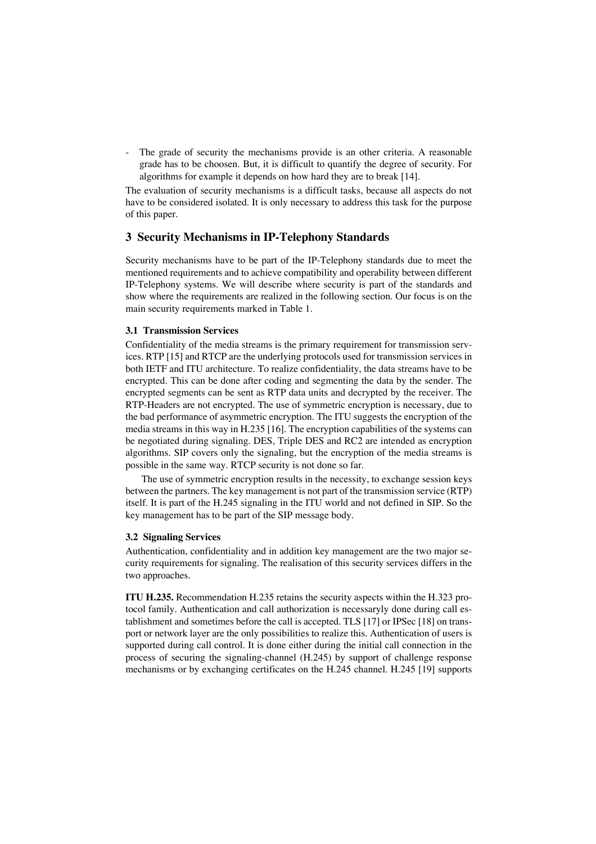- The grade of security the mechanisms provide is an other criteria. A reasonable grade has to be choosen. But, it is difficult to quantify the degree of security. For algorithms for example it depends on how hard they are to break [14].

The evaluation of security mechanisms is a difficult tasks, because all aspects do not have to be considered isolated. It is only necessary to address this task for the purpose of this paper.

# **3 Security Mechanisms in IP-Telephony Standards**

Security mechanisms have to be part of the IP-Telephony standards due to meet the mentioned requirements and to achieve compatibility and operability between different IP-Telephony systems. We will describe where security is part of the standards and show where the requirements are realized in the following section. Our focus is on the main security requirements marked in Table 1.

#### **3.1 Transmission Services**

Confidentiality of the media streams is the primary requirement for transmission services. RTP [15] and RTCP are the underlying protocols used for transmission services in both IETF and ITU architecture. To realize confidentiality, the data streams have to be encrypted. This can be done after coding and segmenting the data by the sender. The encrypted segments can be sent as RTP data units and decrypted by the receiver. The RTP-Headers are not encrypted. The use of symmetric encryption is necessary, due to the bad performance of asymmetric encryption. The ITU suggests the encryption of the media streams in this way in H.235 [16]. The encryption capabilities of the systems can be negotiated during signaling. DES, Triple DES and RC2 are intended as encryption algorithms. SIP covers only the signaling, but the encryption of the media streams is possible in the same way. RTCP security is not done so far.

The use of symmetric encryption results in the necessity, to exchange session keys between the partners. The key management is not part of the transmission service (RTP) itself. It is part of the H.245 signaling in the ITU world and not defined in SIP. So the key management has to be part of the SIP message body.

### **3.2 Signaling Services**

Authentication, confidentiality and in addition key management are the two major security requirements for signaling. The realisation of this security services differs in the two approaches.

**ITU H.235.** Recommendation H.235 retains the security aspects within the H.323 protocol family. Authentication and call authorization is necessaryly done during call establishment and sometimes before the call is accepted. TLS [17] or IPSec [18] on transport or network layer are the only possibilities to realize this. Authentication of users is supported during call control. It is done either during the initial call connection in the process of securing the signaling-channel (H.245) by support of challenge response mechanisms or by exchanging certificates on the H.245 channel. H.245 [19] supports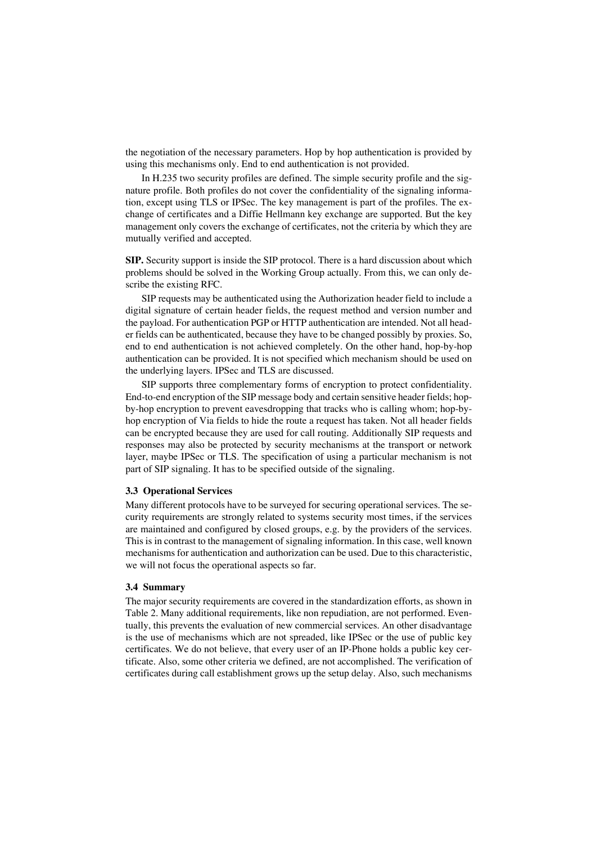the negotiation of the necessary parameters. Hop by hop authentication is provided by using this mechanisms only. End to end authentication is not provided.

In H.235 two security profiles are defined. The simple security profile and the signature profile. Both profiles do not cover the confidentiality of the signaling information, except using TLS or IPSec. The key management is part of the profiles. The exchange of certificates and a Diffie Hellmann key exchange are supported. But the key management only covers the exchange of certificates, not the criteria by which they are mutually verified and accepted.

**SIP.** Security support is inside the SIP protocol. There is a hard discussion about which problems should be solved in the Working Group actually. From this, we can only describe the existing RFC.

SIP requests may be authenticated using the Authorization header field to include a digital signature of certain header fields, the request method and version number and the payload. For authentication PGP or HTTP authentication are intended. Not all header fields can be authenticated, because they have to be changed possibly by proxies. So, end to end authentication is not achieved completely. On the other hand, hop-by-hop authentication can be provided. It is not specified which mechanism should be used on the underlying layers. IPSec and TLS are discussed.

SIP supports three complementary forms of encryption to protect confidentiality. End-to-end encryption of the SIP message body and certain sensitive header fields; hopby-hop encryption to prevent eavesdropping that tracks who is calling whom; hop-byhop encryption of Via fields to hide the route a request has taken. Not all header fields can be encrypted because they are used for call routing. Additionally SIP requests and responses may also be protected by security mechanisms at the transport or network layer, maybe IPSec or TLS. The specification of using a particular mechanism is not part of SIP signaling. It has to be specified outside of the signaling.

#### **3.3 Operational Services**

Many different protocols have to be surveyed for securing operational services. The security requirements are strongly related to systems security most times, if the services are maintained and configured by closed groups, e.g. by the providers of the services. This is in contrast to the management of signaling information. In this case, well known mechanisms for authentication and authorization can be used. Due to this characteristic, we will not focus the operational aspects so far.

#### **3.4 Summary**

The major security requirements are covered in the standardization efforts, as shown in Table 2. Many additional requirements, like non repudiation, are not performed. Eventually, this prevents the evaluation of new commercial services. An other disadvantage is the use of mechanisms which are not spreaded, like IPSec or the use of public key certificates. We do not believe, that every user of an IP-Phone holds a public key certificate. Also, some other criteria we defined, are not accomplished. The verification of certificates during call establishment grows up the setup delay. Also, such mechanisms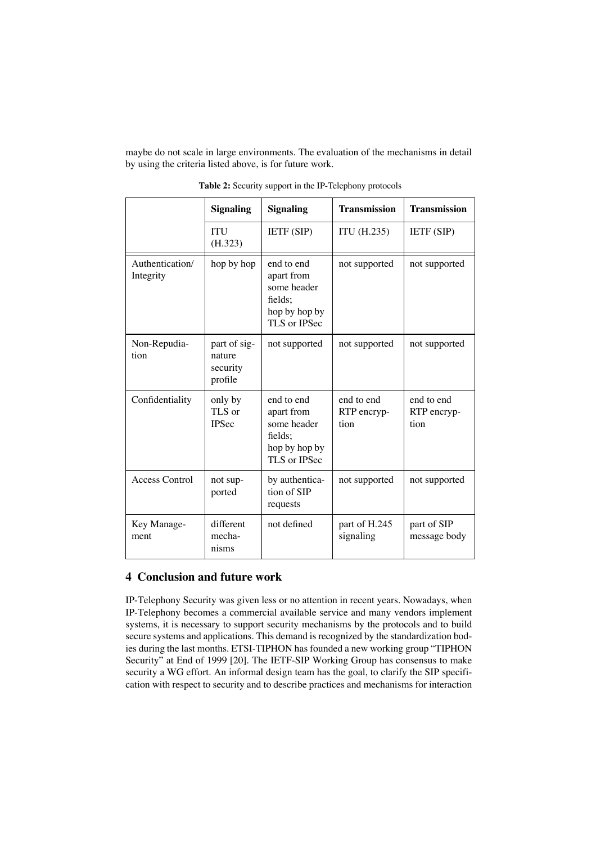maybe do not scale in large environments. The evaluation of the mechanisms in detail by using the criteria listed above, is for future work.

|                              | <b>Signaling</b>                              | <b>Signaling</b>                                                                    | <b>Transmission</b>               | <b>Transmission</b>               |
|------------------------------|-----------------------------------------------|-------------------------------------------------------------------------------------|-----------------------------------|-----------------------------------|
|                              | <b>ITU</b><br>(H.323)                         | <b>IETF</b> (SIP)                                                                   | <b>ITU</b> (H.235)                | <b>IETF</b> (SIP)                 |
| Authentication/<br>Integrity | hop by hop                                    | end to end<br>apart from<br>some header<br>fields:<br>hop by hop by<br>TLS or IPSec | not supported                     | not supported                     |
| Non-Repudia-<br>tion         | part of sig-<br>nature<br>security<br>profile | not supported                                                                       | not supported                     | not supported                     |
| Confidentiality              | only by<br>TLS or<br><b>IPSec</b>             | end to end<br>apart from<br>some header<br>fields;<br>hop by hop by<br>TLS or IPSec | end to end<br>RTP encryp-<br>tion | end to end<br>RTP encryp-<br>tion |
| <b>Access Control</b>        | not sup-<br>ported                            | by authentica-<br>tion of SIP<br>requests                                           | not supported                     | not supported                     |
| Key Manage-<br>ment          | different<br>mecha-<br>nisms                  | not defined                                                                         | part of H.245<br>signaling        | part of SIP<br>message body       |

**Table 2:** Security support in the IP-Telephony protocols

# **4 Conclusion and future work**

IP-Telephony Security was given less or no attention in recent years. Nowadays, when IP-Telephony becomes a commercial available service and many vendors implement systems, it is necessary to support security mechanisms by the protocols and to build secure systems and applications. This demand is recognized by the standardization bodies during the last months. ETSI-TIPHON has founded a new working group "TIPHON Security" at End of 1999 [20]. The IETF-SIP Working Group has consensus to make security a WG effort. An informal design team has the goal, to clarify the SIP specification with respect to security and to describe practices and mechanisms for interaction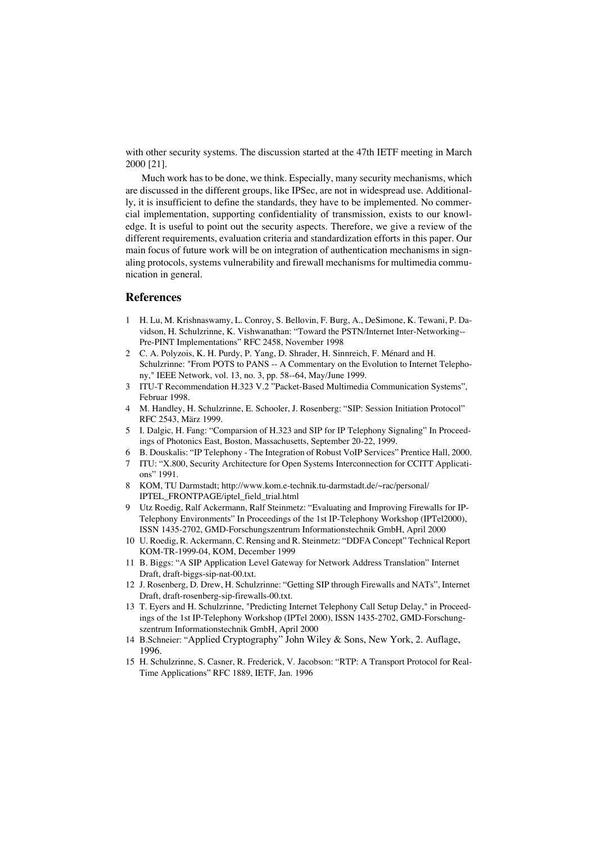with other security systems. The discussion started at the 47th IETF meeting in March 2000 [21].

Much work has to be done, we think. Especially, many security mechanisms, which are discussed in the different groups, like IPSec, are not in widespread use. Additionally, it is insufficient to define the standards, they have to be implemented. No commercial implementation, supporting confidentiality of transmission, exists to our knowledge. It is useful to point out the security aspects. Therefore, we give a review of the different requirements, evaluation criteria and standardization efforts in this paper. Our main focus of future work will be on integration of authentication mechanisms in signaling protocols, systems vulnerability and firewall mechanisms for multimedia communication in general.

## **References**

- 1 H. Lu, M. Krishnaswamy, L. Conroy, S. Bellovin, F. Burg, A., DeSimone, K. Tewani, P. Davidson, H. Schulzrinne, K. Vishwanathan: "Toward the PSTN/Internet Inter-Networking-- Pre-PINT Implementations" RFC 2458, November 1998
- 2 C. A. Polyzois, K. H. Purdy, P. Yang, D. Shrader, H. Sinnreich, F. Ménard and H. Schulzrinne: "From POTS to PANS -- A Commentary on the Evolution to Internet Telephony," IEEE Network, vol. 13, no. 3, pp. 58--64, May/June 1999.
- 3 ITU-T Recommendation H.323 V.2 "Packet-Based Multimedia Communication Systems", Februar 1998.
- 4 M. Handley, H. Schulzrinne, E. Schooler, J. Rosenberg: "SIP: Session Initiation Protocol" RFC 2543, März 1999.
- 5 I. Dalgic, H. Fang: "Comparsion of H.323 and SIP for IP Telephony Signaling" In Proceedings of Photonics East, Boston, Massachusetts, September 20-22, 1999.
- 6 B. Douskalis: "IP Telephony The Integration of Robust VoIP Services" Prentice Hall, 2000.
- 7 ITU: "X.800, Security Architecture for Open Systems Interconnection for CCITT Applications" 1991.
- 8 KOM, TU Darmstadt; http://www.kom.e-technik.tu-darmstadt.de/~rac/personal/ IPTEL\_FRONTPAGE/iptel\_field\_trial.html
- 9 Utz Roedig, Ralf Ackermann, Ralf Steinmetz: "Evaluating and Improving Firewalls for IP-Telephony Environments" In Proceedings of the 1st IP-Telephony Workshop (IPTel2000), ISSN 1435-2702, GMD-Forschungszentrum Informationstechnik GmbH, April 2000
- 10 U. Roedig, R. Ackermann, C. Rensing and R. Steinmetz: "DDFA Concept" Technical Report KOM-TR-1999-04, KOM, December 1999
- 11 B. Biggs: "A SIP Application Level Gateway for Network Address Translation" Internet Draft, draft-biggs-sip-nat-00.txt.
- 12 J. Rosenberg, D. Drew, H. Schulzrinne: "Getting SIP through Firewalls and NATs", Internet Draft, draft-rosenberg-sip-firewalls-00.txt.
- 13 T. Eyers and H. Schulzrinne, "Predicting Internet Telephony Call Setup Delay," in Proceedings of the 1st IP-Telephony Workshop (IPTel 2000), ISSN 1435-2702, GMD-Forschungszentrum Informationstechnik GmbH, April 2000
- 14 B.Schneier: "Applied Cryptography" John Wiley & Sons, New York, 2. Auflage, 1996.
- 15 H. Schulzrinne, S. Casner, R. Frederick, V. Jacobson: "RTP: A Transport Protocol for Real-Time Applications" RFC 1889, IETF, Jan. 1996